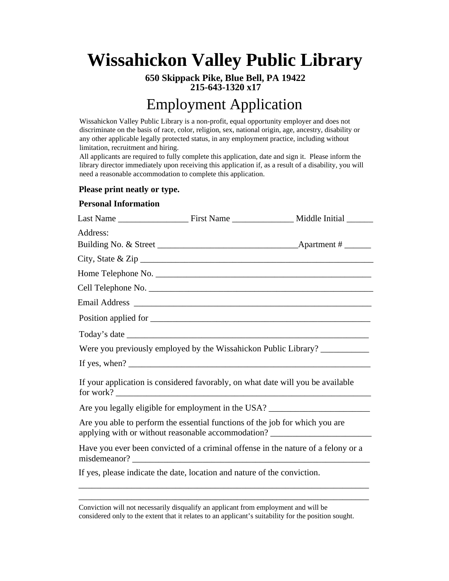# **Wissahickon Valley Public Library**

**650 Skippack Pike, Blue Bell, PA 19422 215-643-1320 x17**

## Employment Application

Wissahickon Valley Public Library is a non-profit, equal opportunity employer and does not discriminate on the basis of race, color, religion, sex, national origin, age, ancestry, disability or any other applicable legally protected status, in any employment practice, including without limitation, recruitment and hiring.

All applicants are required to fully complete this application, date and sign it. Please inform the library director immediately upon receiving this application if, as a result of a disability, you will need a reasonable accommodation to complete this application.

### **Please print neatly or type.**

#### **Personal Information**

| Address: |                                                                                              |                                                                                   |
|----------|----------------------------------------------------------------------------------------------|-----------------------------------------------------------------------------------|
|          |                                                                                              |                                                                                   |
|          |                                                                                              |                                                                                   |
|          |                                                                                              |                                                                                   |
|          |                                                                                              |                                                                                   |
|          |                                                                                              |                                                                                   |
|          |                                                                                              |                                                                                   |
|          |                                                                                              |                                                                                   |
|          |                                                                                              | Were you previously employed by the Wissahickon Public Library?                   |
|          |                                                                                              |                                                                                   |
|          | If your application is considered favorably, on what date will you be available<br>for work? |                                                                                   |
|          |                                                                                              | Are you legally eligible for employment in the USA? ____________________________  |
|          | Are you able to perform the essential functions of the job for which you are                 | applying with or without reasonable accommodation? _____________________________  |
|          |                                                                                              | Have you ever been convicted of a criminal offense in the nature of a felony or a |
|          | If yes, please indicate the date, location and nature of the conviction.                     |                                                                                   |
|          |                                                                                              |                                                                                   |

Conviction will not necessarily disqualify an applicant from employment and will be considered only to the extent that it relates to an applicant's suitability for the position sought.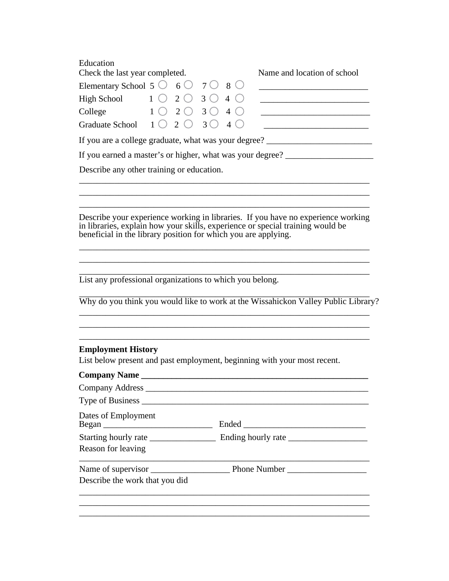| Education                                                     |  |  |                             |  |  |
|---------------------------------------------------------------|--|--|-----------------------------|--|--|
| Check the last year completed.                                |  |  | Name and location of school |  |  |
| Elementary School 5 $\circ$ 6 $\circ$ 7 $\circ$ 8 $\circ$     |  |  |                             |  |  |
| High School $1 \circ 2 \circ 3 \circ 4 \circ$                 |  |  |                             |  |  |
| College $1 \circ 2 \circ 3 \circ 4 \circ$                     |  |  |                             |  |  |
| Graduate School $1 \bigcirc 2 \bigcirc 3 \bigcirc 4 \bigcirc$ |  |  |                             |  |  |
| If you are a college graduate, what was your degree?          |  |  |                             |  |  |
| If you earned a master's or higher, what was your degree?     |  |  |                             |  |  |

Describe any other training or education.

Describe your experience working in libraries. If you have no experience working in libraries, explain how your skills, experience or special training would be beneficial in the library position for which you are applying.

\_\_\_\_\_\_\_\_\_\_\_\_\_\_\_\_\_\_\_\_\_\_\_\_\_\_\_\_\_\_\_\_\_\_\_\_\_\_\_\_\_\_\_\_\_\_\_\_\_\_\_\_\_\_\_\_\_\_\_\_\_\_\_\_\_\_ \_\_\_\_\_\_\_\_\_\_\_\_\_\_\_\_\_\_\_\_\_\_\_\_\_\_\_\_\_\_\_\_\_\_\_\_\_\_\_\_\_\_\_\_\_\_\_\_\_\_\_\_\_\_\_\_\_\_\_\_\_\_\_\_\_\_

\_\_\_\_\_\_\_\_\_\_\_\_\_\_\_\_\_\_\_\_\_\_\_\_\_\_\_\_\_\_\_\_\_\_\_\_\_\_\_\_\_\_\_\_\_\_\_\_\_\_\_\_\_\_\_\_\_\_\_\_\_\_\_\_\_\_ \_\_\_\_\_\_\_\_\_\_\_\_\_\_\_\_\_\_\_\_\_\_\_\_\_\_\_\_\_\_\_\_\_\_\_\_\_\_\_\_\_\_\_\_\_\_\_\_\_\_\_\_\_\_\_\_\_\_\_\_\_\_\_\_\_\_ \_\_\_\_\_\_\_\_\_\_\_\_\_\_\_\_\_\_\_\_\_\_\_\_\_\_\_\_\_\_\_\_\_\_\_\_\_\_\_\_\_\_\_\_\_\_\_\_\_\_\_\_\_\_\_\_\_\_\_\_\_\_\_\_\_\_

List any professional organizations to which you belong. \_\_\_\_\_\_\_\_\_\_\_\_\_\_\_\_\_\_\_\_\_\_\_\_\_\_\_\_\_\_\_\_\_\_\_\_\_\_\_\_\_\_\_\_\_\_\_\_\_\_\_\_\_\_\_\_\_\_\_\_\_\_\_\_\_\_

\_\_\_\_\_\_\_\_\_\_\_\_\_\_\_\_\_\_\_\_\_\_\_\_\_\_\_\_\_\_\_\_\_\_\_\_\_\_\_\_\_\_\_\_\_\_\_\_\_\_\_\_\_\_\_\_\_\_\_\_\_\_\_\_\_\_ Why do you think you would like to work at the Wissahickon Valley Public Library?

\_\_\_\_\_\_\_\_\_\_\_\_\_\_\_\_\_\_\_\_\_\_\_\_\_\_\_\_\_\_\_\_\_\_\_\_\_\_\_\_\_\_\_\_\_\_\_\_\_\_\_\_\_\_\_\_\_\_\_\_\_\_\_\_\_\_ \_\_\_\_\_\_\_\_\_\_\_\_\_\_\_\_\_\_\_\_\_\_\_\_\_\_\_\_\_\_\_\_\_\_\_\_\_\_\_\_\_\_\_\_\_\_\_\_\_\_\_\_\_\_\_\_\_\_\_\_\_\_\_\_\_\_ \_\_\_\_\_\_\_\_\_\_\_\_\_\_\_\_\_\_\_\_\_\_\_\_\_\_\_\_\_\_\_\_\_\_\_\_\_\_\_\_\_\_\_\_\_\_\_\_\_\_\_\_\_\_\_\_\_\_\_\_\_\_\_\_\_\_

#### **Employment History**

List below present and past employment, beginning with your most recent.